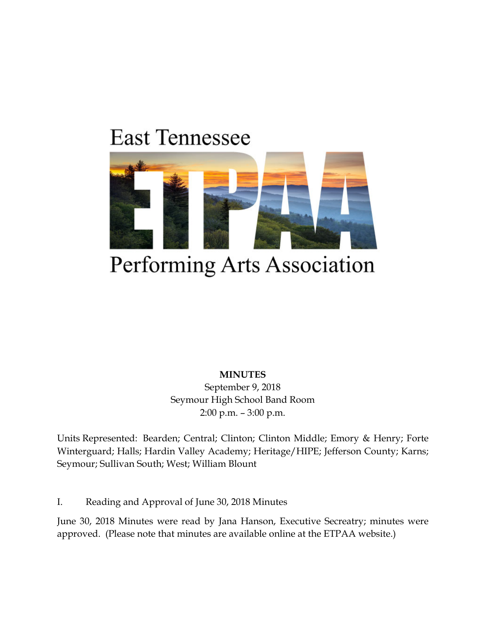# **East Tennessee**



# Performing Arts Association

**MINUTES**

September 9, 2018 Seymour High School Band Room 2:00 p.m. – 3:00 p.m.

Units Represented: Bearden; Central; Clinton; Clinton Middle; Emory & Henry; Forte Winterguard; Halls; Hardin Valley Academy; Heritage/HIPE; Jefferson County; Karns; Seymour; Sullivan South; West; William Blount

I. Reading and Approval of June 30, 2018 Minutes

June 30, 2018 Minutes were read by Jana Hanson, Executive Secreatry; minutes were approved. (Please note that minutes are available online at the ETPAA website.)